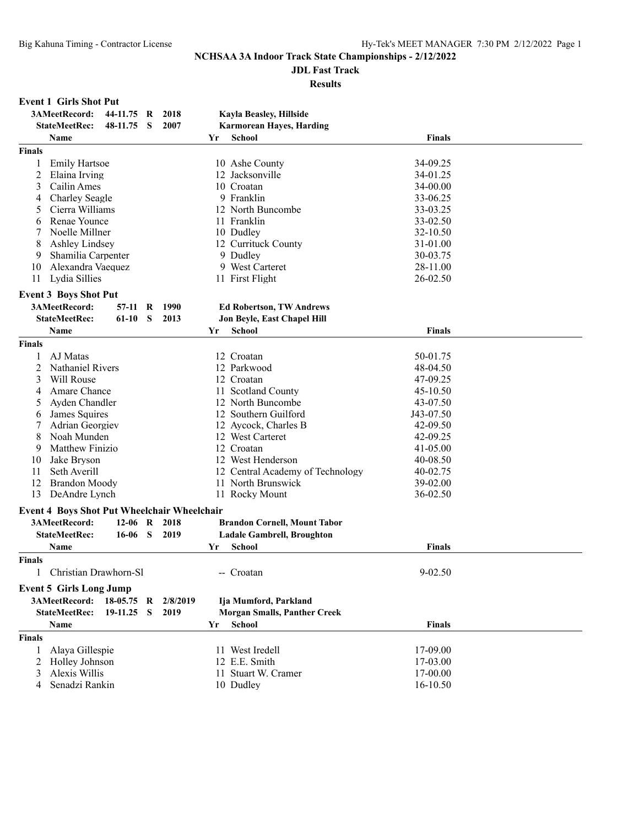# **JDL Fast Track**

#### **Results**

#### **Event 1 Girls Shot Put**

|                | 3AMeetRecord:                                      | 44-11.75 R |              | 2018     |     | Kayla Beasley, Hillside             |               |  |
|----------------|----------------------------------------------------|------------|--------------|----------|-----|-------------------------------------|---------------|--|
|                | <b>StateMeetRec:</b>                               | 48-11.75   | S            | 2007     |     | <b>Karmorean Hayes, Harding</b>     |               |  |
|                | Name                                               |            |              |          | Yr  | <b>School</b>                       | <b>Finals</b> |  |
| <b>Finals</b>  |                                                    |            |              |          |     |                                     |               |  |
| 1              | <b>Emily Hartsoe</b>                               |            |              |          |     | 10 Ashe County                      | 34-09.25      |  |
| $\overline{c}$ | Elaina Irving                                      |            |              |          |     | 12 Jacksonville                     | 34-01.25      |  |
| 3              | Cailin Ames                                        |            |              |          |     | 10 Croatan                          | 34-00.00      |  |
| 4              | Charley Seagle                                     |            |              |          |     | 9 Franklin                          | 33-06.25      |  |
| 5              | Cierra Williams                                    |            |              |          |     | 12 North Buncombe                   | 33-03.25      |  |
| 6              | Renae Younce                                       |            |              |          |     | 11 Franklin                         | 33-02.50      |  |
| 7              | Noelle Millner                                     |            |              |          |     | 10 Dudley                           | 32-10.50      |  |
| 8              | Ashley Lindsey                                     |            |              |          |     | 12 Currituck County                 | 31-01.00      |  |
| 9              | Shamilia Carpenter                                 |            |              |          |     | 9 Dudley                            | 30-03.75      |  |
| 10             | Alexandra Vaequez                                  |            |              |          |     | 9 West Carteret                     | 28-11.00      |  |
| 11             | Lydia Sillies                                      |            |              |          |     | 11 First Flight                     | 26-02.50      |  |
|                | <b>Event 3 Boys Shot Put</b>                       |            |              |          |     |                                     |               |  |
|                | 3AMeetRecord:                                      |            |              |          |     |                                     |               |  |
|                |                                                    | 57-11 R    |              | 1990     |     | <b>Ed Robertson, TW Andrews</b>     |               |  |
|                | <b>StateMeetRec:</b>                               | 61-10      | S            | 2013     |     | Jon Beyle, East Chapel Hill         |               |  |
|                | Name                                               |            |              |          | Yr  | School                              | <b>Finals</b> |  |
| <b>Finals</b>  |                                                    |            |              |          |     |                                     |               |  |
| 1              | AJ Matas                                           |            |              |          |     | 12 Croatan                          | 50-01.75      |  |
| 2              | <b>Nathaniel Rivers</b>                            |            |              |          |     | 12 Parkwood                         | 48-04.50      |  |
| 3              | Will Rouse                                         |            |              |          |     | 12 Croatan                          | 47-09.25      |  |
| 4              | Amare Chance                                       |            |              |          | 11- | <b>Scotland County</b>              | 45-10.50      |  |
| 5              | Ayden Chandler                                     |            |              |          |     | 12 North Buncombe                   | 43-07.50      |  |
| 6              | James Squires                                      |            |              |          |     | 12 Southern Guilford                | J43-07.50     |  |
| 7              | Adrian Georgiev                                    |            |              |          |     | 12 Aycock, Charles B                | 42-09.50      |  |
| 8              | Noah Munden                                        |            |              |          |     | 12 West Carteret                    | 42-09.25      |  |
| 9              | Matthew Finizio                                    |            |              |          |     | 12 Croatan                          | 41-05.00      |  |
| 10             | Jake Bryson                                        |            |              |          |     | 12 West Henderson                   | 40-08.50      |  |
| 11             | Seth Averill                                       |            |              |          |     | 12 Central Academy of Technology    | 40-02.75      |  |
| 12             | <b>Brandon Moody</b>                               |            |              |          |     | 11 North Brunswick                  | 39-02.00      |  |
| 13             | DeAndre Lynch                                      |            |              |          |     | 11 Rocky Mount                      | 36-02.50      |  |
|                | <b>Event 4 Boys Shot Put Wheelchair Wheelchair</b> |            |              |          |     |                                     |               |  |
|                | 3AMeetRecord:                                      | $12 - 06$  | R            | 2018     |     | <b>Brandon Cornell, Mount Tabor</b> |               |  |
|                | <b>StateMeetRec:</b>                               | 16-06      | <sub>S</sub> | 2019     |     | <b>Ladale Gambrell, Broughton</b>   |               |  |
|                | Name                                               |            |              |          | Yr  | School                              | <b>Finals</b> |  |
| <b>Finals</b>  |                                                    |            |              |          |     |                                     |               |  |
|                | Christian Drawhorn-Sl                              |            |              |          |     | -- Croatan                          | $9 - 02.50$   |  |
|                | <b>Event 5 Girls Long Jump</b>                     |            |              |          |     |                                     |               |  |
|                | 3AMeetRecord:                                      | 18-05.75   | R            | 2/8/2019 |     | Ija Mumford, Parkland               |               |  |
|                | <b>StateMeetRec:</b>                               | 19-11.25   | S            | 2019     |     | <b>Morgan Smalls, Panther Creek</b> |               |  |
|                | Name                                               |            |              |          | Yr  | <b>School</b>                       | <b>Finals</b> |  |
| <b>Finals</b>  |                                                    |            |              |          |     |                                     |               |  |
| 1              | Alaya Gillespie                                    |            |              |          |     | 11 West Iredell                     | 17-09.00      |  |
| 2              | Holley Johnson                                     |            |              |          |     | 12 E.E. Smith                       | 17-03.00      |  |
| 3              | Alexis Willis                                      |            |              |          |     | 11 Stuart W. Cramer                 | 17-00.00      |  |
| 4              | Senadzi Rankin                                     |            |              |          |     | 10 Dudley                           | 16-10.50      |  |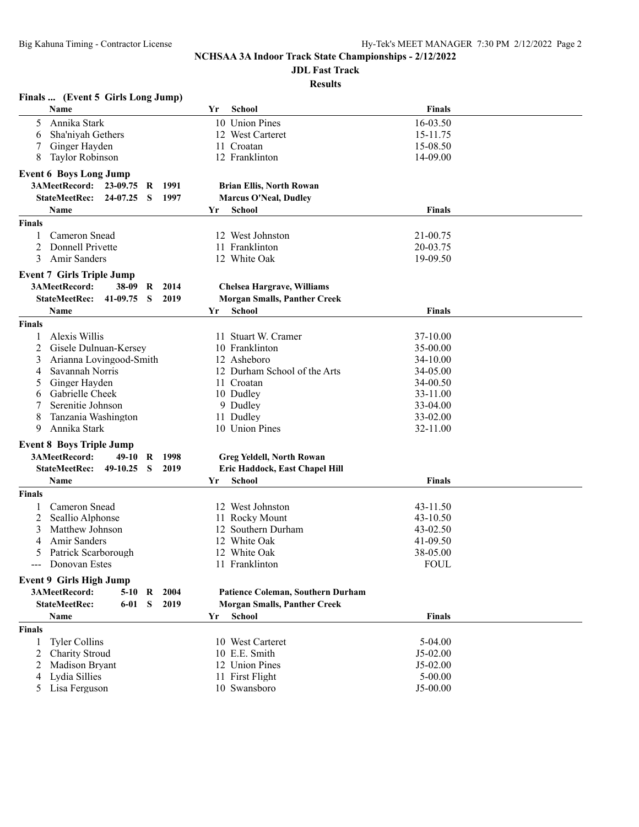# **JDL Fast Track**

| Finals  (Event 5 Girls Long Jump)                    |                                     |               |  |
|------------------------------------------------------|-------------------------------------|---------------|--|
| Name                                                 | <b>School</b><br>Yr                 | <b>Finals</b> |  |
| 5<br>Annika Stark                                    | 10 Union Pines                      | 16-03.50      |  |
| Sha'niyah Gethers<br>6                               | 12 West Carteret                    | 15-11.75      |  |
| Ginger Hayden                                        | 11 Croatan                          | 15-08.50      |  |
| 8<br><b>Taylor Robinson</b>                          | 12 Franklinton                      | 14-09.00      |  |
| <b>Event 6 Boys Long Jump</b>                        |                                     |               |  |
| 3AMeetRecord: 23-09.75<br>1991<br>R                  | <b>Brian Ellis, North Rowan</b>     |               |  |
| <b>StateMeetRec:</b><br>24-07.25<br>-S<br>1997       | <b>Marcus O'Neal, Dudley</b>        |               |  |
| Name                                                 | School<br>Yr                        | <b>Finals</b> |  |
| <b>Finals</b>                                        |                                     |               |  |
| Cameron Snead<br>1                                   | 12 West Johnston                    | 21-00.75      |  |
| Donnell Privette<br>2                                | 11 Franklinton                      | 20-03.75      |  |
| 3<br><b>Amir Sanders</b>                             | 12 White Oak                        | 19-09.50      |  |
| <b>Event 7 Girls Triple Jump</b>                     |                                     |               |  |
| 3AMeetRecord:<br>38-09 R<br>2014                     | <b>Chelsea Hargrave, Williams</b>   |               |  |
| $41-09.75$ S<br><b>StateMeetRec:</b><br>2019         | <b>Morgan Smalls, Panther Creek</b> |               |  |
| Name                                                 | <b>School</b><br>Yr                 | <b>Finals</b> |  |
| <b>Finals</b>                                        |                                     |               |  |
| Alexis Willis<br>1                                   | 11 Stuart W. Cramer                 | 37-10.00      |  |
| 2<br>Gisele Dulnuan-Kersey                           | 10 Franklinton                      | 35-00.00      |  |
| 3<br>Arianna Lovingood-Smith                         | 12 Asheboro                         | 34-10.00      |  |
| Savannah Norris<br>4                                 | 12 Durham School of the Arts        | 34-05.00      |  |
| Ginger Hayden<br>5                                   | 11 Croatan                          | 34-00.50      |  |
| Gabrielle Cheek<br>6                                 | 10 Dudley                           | 33-11.00      |  |
| 7<br>Serenitie Johnson                               | 9 Dudley                            | 33-04.00      |  |
| 8<br>Tanzania Washington                             | 11 Dudley                           | 33-02.00      |  |
| 9<br>Annika Stark                                    | 10 Union Pines                      | 32-11.00      |  |
| <b>Event 8 Boys Triple Jump</b>                      |                                     |               |  |
| 3AMeetRecord:<br>49-10<br>1998<br>R                  | <b>Greg Yeldell, North Rowan</b>    |               |  |
| <b>StateMeetRec:</b><br>2019<br>49-10.25<br>- S      | Eric Haddock, East Chapel Hill      |               |  |
| Name                                                 | <b>School</b><br>Yr                 | <b>Finals</b> |  |
| <b>Finals</b>                                        |                                     |               |  |
| Cameron Snead<br>1                                   | 12 West Johnston                    | 43-11.50      |  |
| Seallio Alphonse<br>2                                | 11 Rocky Mount                      | 43-10.50      |  |
| Matthew Johnson<br>3                                 | 12 Southern Durham                  | 43-02.50      |  |
| <b>Amir Sanders</b><br>4                             | 12 White Oak                        | 41-09.50      |  |
| 5<br>Patrick Scarborough                             | 12 White Oak                        | 38-05.00      |  |
| --- Donovan Estes                                    | 11 Franklinton                      | <b>FOUL</b>   |  |
| <b>Event 9 Girls High Jump</b>                       |                                     |               |  |
| 3AMeetRecord:<br>2004<br>$5-10$<br>R                 | Patience Coleman, Southern Durham   |               |  |
| <b>StateMeetRec:</b><br><sub>S</sub><br>2019<br>6-01 | <b>Morgan Smalls, Panther Creek</b> |               |  |
| Name                                                 | <b>School</b><br>Yr                 | <b>Finals</b> |  |
| <b>Finals</b>                                        |                                     |               |  |
| <b>Tyler Collins</b><br>1                            | 10 West Carteret                    | $5-04.00$     |  |
| Charity Stroud<br>2                                  | 10 E.E. Smith                       | $J5-02.00$    |  |
| Madison Bryant<br>2                                  | 12 Union Pines                      | J5-02.00      |  |
| Lydia Sillies<br>4                                   | 11 First Flight                     | $5 - 00.00$   |  |
| 5<br>Lisa Ferguson                                   | 10 Swansboro                        | J5-00.00      |  |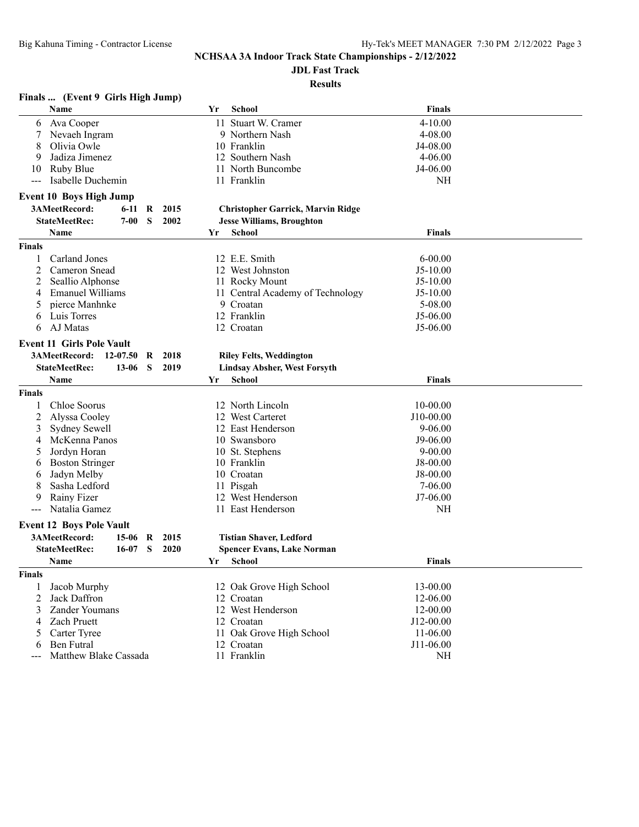# **JDL Fast Track**

### **Results**

## **Finals ... (Event 9 Girls High Jump)**

| Name                              |                                                                                                                                                                                                                                                                                                                                                                                                                                              |                                             | Yr                           | School        | Finals                                                                                                                                                                                                                                                                                                                                                                                                                                                                                                                                                                                                                                                                                                                                                                                                                                  |                                                                                                                                                                                                     |
|-----------------------------------|----------------------------------------------------------------------------------------------------------------------------------------------------------------------------------------------------------------------------------------------------------------------------------------------------------------------------------------------------------------------------------------------------------------------------------------------|---------------------------------------------|------------------------------|---------------|-----------------------------------------------------------------------------------------------------------------------------------------------------------------------------------------------------------------------------------------------------------------------------------------------------------------------------------------------------------------------------------------------------------------------------------------------------------------------------------------------------------------------------------------------------------------------------------------------------------------------------------------------------------------------------------------------------------------------------------------------------------------------------------------------------------------------------------------|-----------------------------------------------------------------------------------------------------------------------------------------------------------------------------------------------------|
| Ava Cooper                        |                                                                                                                                                                                                                                                                                                                                                                                                                                              |                                             |                              |               | 4-10.00                                                                                                                                                                                                                                                                                                                                                                                                                                                                                                                                                                                                                                                                                                                                                                                                                                 |                                                                                                                                                                                                     |
| Nevaeh Ingram                     |                                                                                                                                                                                                                                                                                                                                                                                                                                              |                                             |                              |               | 4-08.00                                                                                                                                                                                                                                                                                                                                                                                                                                                                                                                                                                                                                                                                                                                                                                                                                                 |                                                                                                                                                                                                     |
| Olivia Owle                       |                                                                                                                                                                                                                                                                                                                                                                                                                                              |                                             |                              |               | J4-08.00                                                                                                                                                                                                                                                                                                                                                                                                                                                                                                                                                                                                                                                                                                                                                                                                                                |                                                                                                                                                                                                     |
| Jadiza Jimenez                    |                                                                                                                                                                                                                                                                                                                                                                                                                                              |                                             |                              |               | $4 - 06.00$                                                                                                                                                                                                                                                                                                                                                                                                                                                                                                                                                                                                                                                                                                                                                                                                                             |                                                                                                                                                                                                     |
|                                   |                                                                                                                                                                                                                                                                                                                                                                                                                                              |                                             |                              |               | J4-06.00                                                                                                                                                                                                                                                                                                                                                                                                                                                                                                                                                                                                                                                                                                                                                                                                                                |                                                                                                                                                                                                     |
| Isabelle Duchemin                 |                                                                                                                                                                                                                                                                                                                                                                                                                                              |                                             |                              |               | <b>NH</b>                                                                                                                                                                                                                                                                                                                                                                                                                                                                                                                                                                                                                                                                                                                                                                                                                               |                                                                                                                                                                                                     |
|                                   |                                                                                                                                                                                                                                                                                                                                                                                                                                              |                                             |                              |               |                                                                                                                                                                                                                                                                                                                                                                                                                                                                                                                                                                                                                                                                                                                                                                                                                                         |                                                                                                                                                                                                     |
|                                   |                                                                                                                                                                                                                                                                                                                                                                                                                                              |                                             |                              |               |                                                                                                                                                                                                                                                                                                                                                                                                                                                                                                                                                                                                                                                                                                                                                                                                                                         |                                                                                                                                                                                                     |
|                                   |                                                                                                                                                                                                                                                                                                                                                                                                                                              |                                             |                              |               |                                                                                                                                                                                                                                                                                                                                                                                                                                                                                                                                                                                                                                                                                                                                                                                                                                         |                                                                                                                                                                                                     |
|                                   |                                                                                                                                                                                                                                                                                                                                                                                                                                              |                                             |                              |               |                                                                                                                                                                                                                                                                                                                                                                                                                                                                                                                                                                                                                                                                                                                                                                                                                                         |                                                                                                                                                                                                     |
|                                   |                                                                                                                                                                                                                                                                                                                                                                                                                                              |                                             |                              |               |                                                                                                                                                                                                                                                                                                                                                                                                                                                                                                                                                                                                                                                                                                                                                                                                                                         |                                                                                                                                                                                                     |
|                                   |                                                                                                                                                                                                                                                                                                                                                                                                                                              |                                             |                              |               |                                                                                                                                                                                                                                                                                                                                                                                                                                                                                                                                                                                                                                                                                                                                                                                                                                         |                                                                                                                                                                                                     |
|                                   |                                                                                                                                                                                                                                                                                                                                                                                                                                              |                                             |                              |               |                                                                                                                                                                                                                                                                                                                                                                                                                                                                                                                                                                                                                                                                                                                                                                                                                                         |                                                                                                                                                                                                     |
|                                   |                                                                                                                                                                                                                                                                                                                                                                                                                                              |                                             |                              |               |                                                                                                                                                                                                                                                                                                                                                                                                                                                                                                                                                                                                                                                                                                                                                                                                                                         |                                                                                                                                                                                                     |
|                                   |                                                                                                                                                                                                                                                                                                                                                                                                                                              |                                             |                              |               |                                                                                                                                                                                                                                                                                                                                                                                                                                                                                                                                                                                                                                                                                                                                                                                                                                         |                                                                                                                                                                                                     |
|                                   |                                                                                                                                                                                                                                                                                                                                                                                                                                              |                                             |                              |               |                                                                                                                                                                                                                                                                                                                                                                                                                                                                                                                                                                                                                                                                                                                                                                                                                                         |                                                                                                                                                                                                     |
|                                   |                                                                                                                                                                                                                                                                                                                                                                                                                                              |                                             |                              |               |                                                                                                                                                                                                                                                                                                                                                                                                                                                                                                                                                                                                                                                                                                                                                                                                                                         |                                                                                                                                                                                                     |
|                                   |                                                                                                                                                                                                                                                                                                                                                                                                                                              |                                             |                              |               |                                                                                                                                                                                                                                                                                                                                                                                                                                                                                                                                                                                                                                                                                                                                                                                                                                         |                                                                                                                                                                                                     |
|                                   |                                                                                                                                                                                                                                                                                                                                                                                                                                              |                                             |                              |               |                                                                                                                                                                                                                                                                                                                                                                                                                                                                                                                                                                                                                                                                                                                                                                                                                                         |                                                                                                                                                                                                     |
|                                   |                                                                                                                                                                                                                                                                                                                                                                                                                                              |                                             |                              |               |                                                                                                                                                                                                                                                                                                                                                                                                                                                                                                                                                                                                                                                                                                                                                                                                                                         |                                                                                                                                                                                                     |
|                                   | R                                                                                                                                                                                                                                                                                                                                                                                                                                            |                                             |                              |               |                                                                                                                                                                                                                                                                                                                                                                                                                                                                                                                                                                                                                                                                                                                                                                                                                                         |                                                                                                                                                                                                     |
|                                   |                                                                                                                                                                                                                                                                                                                                                                                                                                              |                                             |                              |               |                                                                                                                                                                                                                                                                                                                                                                                                                                                                                                                                                                                                                                                                                                                                                                                                                                         |                                                                                                                                                                                                     |
| Name                              |                                                                                                                                                                                                                                                                                                                                                                                                                                              |                                             | Yr                           |               | <b>Finals</b>                                                                                                                                                                                                                                                                                                                                                                                                                                                                                                                                                                                                                                                                                                                                                                                                                           |                                                                                                                                                                                                     |
|                                   |                                                                                                                                                                                                                                                                                                                                                                                                                                              |                                             |                              |               |                                                                                                                                                                                                                                                                                                                                                                                                                                                                                                                                                                                                                                                                                                                                                                                                                                         |                                                                                                                                                                                                     |
| Chloe Soorus                      |                                                                                                                                                                                                                                                                                                                                                                                                                                              |                                             |                              |               | 10-00.00                                                                                                                                                                                                                                                                                                                                                                                                                                                                                                                                                                                                                                                                                                                                                                                                                                |                                                                                                                                                                                                     |
| Alyssa Cooley                     |                                                                                                                                                                                                                                                                                                                                                                                                                                              |                                             |                              |               | J10-00.00                                                                                                                                                                                                                                                                                                                                                                                                                                                                                                                                                                                                                                                                                                                                                                                                                               |                                                                                                                                                                                                     |
| Sydney Sewell                     |                                                                                                                                                                                                                                                                                                                                                                                                                                              |                                             |                              |               | $9 - 06.00$                                                                                                                                                                                                                                                                                                                                                                                                                                                                                                                                                                                                                                                                                                                                                                                                                             |                                                                                                                                                                                                     |
| McKenna Panos                     |                                                                                                                                                                                                                                                                                                                                                                                                                                              |                                             |                              |               |                                                                                                                                                                                                                                                                                                                                                                                                                                                                                                                                                                                                                                                                                                                                                                                                                                         |                                                                                                                                                                                                     |
| Jordyn Horan                      |                                                                                                                                                                                                                                                                                                                                                                                                                                              |                                             |                              |               | $9 - 00.00$                                                                                                                                                                                                                                                                                                                                                                                                                                                                                                                                                                                                                                                                                                                                                                                                                             |                                                                                                                                                                                                     |
| <b>Boston Stringer</b>            |                                                                                                                                                                                                                                                                                                                                                                                                                                              |                                             |                              |               | J8-00.00                                                                                                                                                                                                                                                                                                                                                                                                                                                                                                                                                                                                                                                                                                                                                                                                                                |                                                                                                                                                                                                     |
| Jadyn Melby                       |                                                                                                                                                                                                                                                                                                                                                                                                                                              |                                             |                              |               | $J8-00.00$                                                                                                                                                                                                                                                                                                                                                                                                                                                                                                                                                                                                                                                                                                                                                                                                                              |                                                                                                                                                                                                     |
| Sasha Ledford                     |                                                                                                                                                                                                                                                                                                                                                                                                                                              |                                             |                              |               | $7 - 06.00$                                                                                                                                                                                                                                                                                                                                                                                                                                                                                                                                                                                                                                                                                                                                                                                                                             |                                                                                                                                                                                                     |
| Rainy Fizer                       |                                                                                                                                                                                                                                                                                                                                                                                                                                              |                                             |                              |               | J7-06.00                                                                                                                                                                                                                                                                                                                                                                                                                                                                                                                                                                                                                                                                                                                                                                                                                                |                                                                                                                                                                                                     |
| Natalia Gamez                     |                                                                                                                                                                                                                                                                                                                                                                                                                                              |                                             |                              |               | NH                                                                                                                                                                                                                                                                                                                                                                                                                                                                                                                                                                                                                                                                                                                                                                                                                                      |                                                                                                                                                                                                     |
|                                   |                                                                                                                                                                                                                                                                                                                                                                                                                                              |                                             |                              |               |                                                                                                                                                                                                                                                                                                                                                                                                                                                                                                                                                                                                                                                                                                                                                                                                                                         |                                                                                                                                                                                                     |
| 3AMeetRecord:<br>15-06            | R                                                                                                                                                                                                                                                                                                                                                                                                                                            | 2015                                        |                              |               |                                                                                                                                                                                                                                                                                                                                                                                                                                                                                                                                                                                                                                                                                                                                                                                                                                         |                                                                                                                                                                                                     |
| <b>StateMeetRec:</b><br>$16 - 07$ |                                                                                                                                                                                                                                                                                                                                                                                                                                              | 2020                                        |                              |               |                                                                                                                                                                                                                                                                                                                                                                                                                                                                                                                                                                                                                                                                                                                                                                                                                                         |                                                                                                                                                                                                     |
| <b>Name</b>                       |                                                                                                                                                                                                                                                                                                                                                                                                                                              |                                             | Yr                           | <b>School</b> | <b>Finals</b>                                                                                                                                                                                                                                                                                                                                                                                                                                                                                                                                                                                                                                                                                                                                                                                                                           |                                                                                                                                                                                                     |
|                                   |                                                                                                                                                                                                                                                                                                                                                                                                                                              |                                             |                              |               |                                                                                                                                                                                                                                                                                                                                                                                                                                                                                                                                                                                                                                                                                                                                                                                                                                         |                                                                                                                                                                                                     |
|                                   |                                                                                                                                                                                                                                                                                                                                                                                                                                              |                                             |                              |               |                                                                                                                                                                                                                                                                                                                                                                                                                                                                                                                                                                                                                                                                                                                                                                                                                                         |                                                                                                                                                                                                     |
| Jack Daffron                      |                                                                                                                                                                                                                                                                                                                                                                                                                                              |                                             |                              |               |                                                                                                                                                                                                                                                                                                                                                                                                                                                                                                                                                                                                                                                                                                                                                                                                                                         |                                                                                                                                                                                                     |
|                                   |                                                                                                                                                                                                                                                                                                                                                                                                                                              |                                             |                              |               |                                                                                                                                                                                                                                                                                                                                                                                                                                                                                                                                                                                                                                                                                                                                                                                                                                         |                                                                                                                                                                                                     |
| <b>Zach Pruett</b>                |                                                                                                                                                                                                                                                                                                                                                                                                                                              |                                             |                              |               |                                                                                                                                                                                                                                                                                                                                                                                                                                                                                                                                                                                                                                                                                                                                                                                                                                         |                                                                                                                                                                                                     |
|                                   |                                                                                                                                                                                                                                                                                                                                                                                                                                              |                                             |                              |               |                                                                                                                                                                                                                                                                                                                                                                                                                                                                                                                                                                                                                                                                                                                                                                                                                                         |                                                                                                                                                                                                     |
| <b>Ben Futral</b>                 |                                                                                                                                                                                                                                                                                                                                                                                                                                              |                                             |                              |               |                                                                                                                                                                                                                                                                                                                                                                                                                                                                                                                                                                                                                                                                                                                                                                                                                                         |                                                                                                                                                                                                     |
|                                   |                                                                                                                                                                                                                                                                                                                                                                                                                                              |                                             |                              |               | $\rm NH$                                                                                                                                                                                                                                                                                                                                                                                                                                                                                                                                                                                                                                                                                                                                                                                                                                |                                                                                                                                                                                                     |
|                                   | Ruby Blue<br><b>Event 10 Boys High Jump</b><br>3AMeetRecord:<br>6-11<br><b>StateMeetRec:</b><br>7-00<br>Name<br><b>Carland Jones</b><br>Cameron Snead<br>Seallio Alphonse<br><b>Emanuel Williams</b><br>pierce Manhnke<br>Luis Torres<br>AJ Matas<br><b>Event 11 Girls Pole Vault</b><br>3AMeetRecord:<br>12-07.50<br><b>StateMeetRec:</b><br>$13 - 06$<br><b>Event 12 Boys Pole Vault</b><br>Jacob Murphy<br>Zander Youmans<br>Carter Tyree | R<br>S<br>S<br>- S<br>Matthew Blake Cassada | 2015<br>2002<br>2018<br>2019 | Yr            | 11 Stuart W. Cramer<br>9 Northern Nash<br>10 Franklin<br>12 Southern Nash<br>11 North Buncombe<br>11 Franklin<br><b>Christopher Garrick, Marvin Ridge</b><br><b>Jesse Williams, Broughton</b><br><b>School</b><br>12 E.E. Smith<br>12 West Johnston<br>11 Rocky Mount<br>11 Central Academy of Technology<br>9 Croatan<br>12 Franklin<br>12 Croatan<br><b>Riley Felts, Weddington</b><br><b>Lindsay Absher, West Forsyth</b><br>School<br>12 North Lincoln<br>12 West Carteret<br>12 East Henderson<br>10 Swansboro<br>10 St. Stephens<br>10 Franklin<br>10 Croatan<br>11 Pisgah<br>12 West Henderson<br>11 East Henderson<br><b>Tistian Shaver, Ledford</b><br><b>Spencer Evans, Lake Norman</b><br>12 Oak Grove High School<br>12 Croatan<br>12 West Henderson<br>12 Croatan<br>11 Oak Grove High School<br>12 Croatan<br>11 Franklin | <b>Finals</b><br>$6 - 00.00$<br>$J5-10.00$<br>$J5-10.00$<br>$J5-10.00$<br>5-08.00<br>$J5-06.00$<br>$J5-06.00$<br>J9-06.00<br>13-00.00<br>12-06.00<br>12-00.00<br>J12-00.00<br>11-06.00<br>J11-06.00 |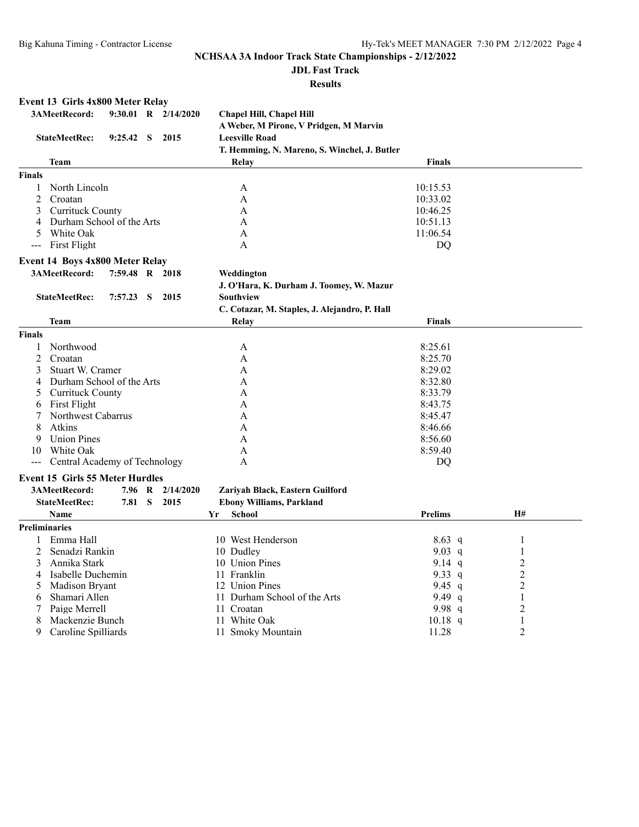# **JDL Fast Track**

#### **Results**

#### **Event 13 Girls 4x800 Meter Relay 3AMeetRecord: 9:30.01 R 2/14/2020 Chapel Hill, Chapel Hill A Weber, M Pirone, V Pridgen, M Marvin StateMeetRec: 9:25.42 S 2015 Leesville Road T. Hemming, N. Mareno, S. Winchel, J. Butler Team Relay Finals Finals** 1 North Lincoln A 10:15.53 2 Croatan A 10:33.02 3 Currituck County A 10:46.25 4 Durham School of the Arts A 10:51.13 5 White Oak A 11:06.54 -- First Flight A DQ **Event 14 Boys 4x800 Meter Relay 3AMeetRecord: 7:59.48 R 2018 Weddington J. O'Hara, K. Durham J. Toomey, W. Mazur StateMeetRec: 7:57.23 S 2015 Southview C. Cotazar, M. Staples, J. Alejandro, P. Hall Team Relay Finals Finals** 1 Northwood **A** 8:25.61 2 Croatan **A** 8:25.70 3 Stuart W. Cramer A 8:29.02 4 Durham School of the Arts A 8:32.80 5 Currituck County A 8:33.79 6 First Flight A 8:43.75 7 Northwest Cabarrus A 8:45.47 8 Atkins **A** 8:46.66 9 Union Pines A 8:56.60 10 White Oak A 8:59.40 --- Central Academy of Technology A DQ **Event 15 Girls 55 Meter Hurdles 3AMeetRecord: 7.96 R 2/14/2020 Zariyah Black, Eastern Guilford StateMeetRec: 7.81 S 2015 Ebony Williams, Parkland Name Yr School Prelims H# Preliminaries** 1 Emma Hall 10 West Henderson 8.63 q 1 2 Senadzi Rankin 10 Dudley 10 Outlev 9.03 q 1<br>
3 Annika Stark 10 Union Pines 9.14 q 2 3 Annika Stark 10 Union Pines 9.14 q<br>4 Isabelle Duchemin 11 Franklin 9.33 q 4 Isabelle Duchemin 11 Franklin 9.33 q 2<br>5 Madison Bryant 12 Union Pines 9.45 q 2 5 Madison Bryant 12 Union Pines 9.45 q 2<br>6 Shamari Allen 11 Durham School of the Arts 9.49 q 2 6 Shamari Allen 11 Durham School of the Arts 9.49 q 1 11 Croatan 11 Croatan 11 Croatan 11 Croatan 11 Croatan 11 Oriental 11 Oriental 11 Military 10.18 q 2<br>11 2 11 Mhite Oak 10.18 q 2 8 Mackenzie Bunch 11 White Oak 10.18 q 1<br>
9 Caroline Spilliards 11 Smoky Mountain 11.28 2 9 Caroline Spilliards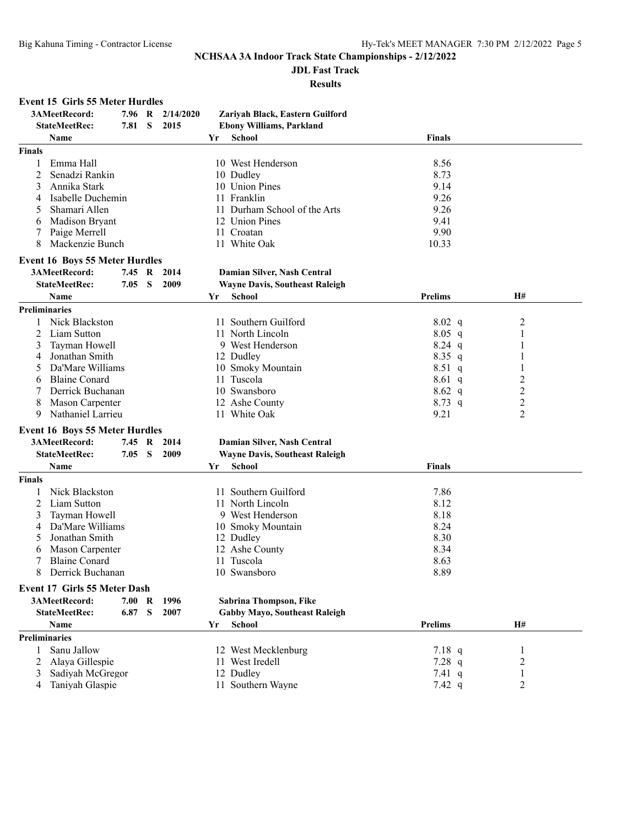### **JDL Fast Track**

**Results**

### **Event 15 Girls 55 Meter Hurdles**

| 3AMeetRecord:<br>Zariyah Black, Eastern Guilford<br>7.96<br>2/14/2020<br>R        |                         |
|-----------------------------------------------------------------------------------|-------------------------|
| 2015<br><b>StateMeetRec:</b><br>7.81<br>S<br><b>Ebony Williams, Parkland</b>      |                         |
| Name<br>School<br><b>Finals</b><br>Yr                                             |                         |
| <b>Finals</b>                                                                     |                         |
| Emma Hall<br>8.56<br>10 West Henderson                                            |                         |
| 8.73<br>2<br>Senadzi Rankin<br>10 Dudley                                          |                         |
| 10 Union Pines<br>Annika Stark<br>9.14<br>3                                       |                         |
| 11 Franklin<br>9.26<br>Isabelle Duchemin<br>4                                     |                         |
| 9.26<br>Shamari Allen<br>11 Durham School of the Arts                             |                         |
| 12 Union Pines<br>9.41<br>Madison Bryant<br>6                                     |                         |
| 9.90<br>Paige Merrell<br>11 Croatan                                               |                         |
| 11 White Oak<br>8<br>Mackenzie Bunch<br>10.33                                     |                         |
| <b>Event 16 Boys 55 Meter Hurdles</b>                                             |                         |
| 3AMeetRecord:<br>2014<br>Damian Silver, Nash Central<br>7.45 R                    |                         |
| 2009<br><b>StateMeetRec:</b><br>7.05 S<br><b>Wayne Davis, Southeast Raleigh</b>   |                         |
| <b>Prelims</b><br>Name<br>Yr<br><b>School</b>                                     | H#                      |
| <b>Preliminaries</b>                                                              |                         |
| Nick Blackston<br>11 Southern Guilford<br>$8.02\ q$                               | 2                       |
| 2<br>Liam Sutton<br>11 North Lincoln<br>$8.05$ q                                  | 1                       |
| Tayman Howell<br>9 West Henderson<br>$8.24$ q<br>3                                |                         |
| Jonathan Smith<br>$8.35$ q<br>12 Dudley<br>4                                      | 1                       |
| Da'Mare Williams<br>10 Smoky Mountain<br>$8.51\ q$<br>5                           |                         |
| <b>Blaine Conard</b><br>11 Tuscola<br>$8.61\ q$<br>6                              | $\overline{\mathbf{c}}$ |
| Derrick Buchanan<br>10 Swansboro<br>$8.62\ q$                                     | $\overline{c}$          |
| 12 Ashe County<br>Mason Carpenter<br>$8.73$ q<br>8                                | $\overline{c}$          |
| 9.21<br>Nathaniel Larrieu<br>11 White Oak<br>9                                    | $\overline{2}$          |
|                                                                                   |                         |
| <b>Event 16 Boys 55 Meter Hurdles</b>                                             |                         |
| 3AMeetRecord:<br>7.45 R<br>2014<br>Damian Silver, Nash Central                    |                         |
| <b>StateMeetRec:</b><br>2009<br>7.05 S<br><b>Wayne Davis, Southeast Raleigh</b>   |                         |
| Name<br><b>School</b><br><b>Finals</b><br>Yr                                      |                         |
| <b>Finals</b>                                                                     |                         |
| Nick Blackston<br>11 Southern Guilford<br>7.86                                    |                         |
| 8.12<br>Liam Sutton<br>11 North Lincoln<br>2                                      |                         |
| 8.18<br>Tayman Howell<br>9 West Henderson<br>3                                    |                         |
| Da'Mare Williams<br>8.24<br>10 Smoky Mountain<br>4                                |                         |
| 8.30<br>Jonathan Smith<br>12 Dudley<br>5                                          |                         |
| Mason Carpenter<br>12 Ashe County<br>8.34<br>6                                    |                         |
| <b>Blaine Conard</b><br>8.63<br>11 Tuscola                                        |                         |
| 8<br>8.89<br>10 Swansboro<br>Derrick Buchanan                                     |                         |
| Event 17 Girls 55 Meter Dash                                                      |                         |
| 3AMeetRecord:<br>7.00<br>1996<br>Sabrina Thompson, Fike<br>R                      |                         |
| S<br>2007<br><b>Gabby Mayo, Southeast Raleigh</b><br><b>StateMeetRec:</b><br>6.87 |                         |
| Name<br><b>School</b><br><b>Prelims</b><br>Yr                                     | H#                      |
| <b>Preliminaries</b>                                                              |                         |
| 7.18 $q$<br>Sanu Jallow<br>12 West Mecklenburg<br>1                               | 1                       |
| 2<br>Alaya Gillespie<br>11 West Iredell<br>7.28 $q$                               | 2                       |
| Sadiyah McGregor<br>12 Dudley<br>7.41 $q$<br>3                                    | 1                       |
| Taniyah Glaspie<br>11 Southern Wayne<br>7.42 $q$<br>4                             | 2                       |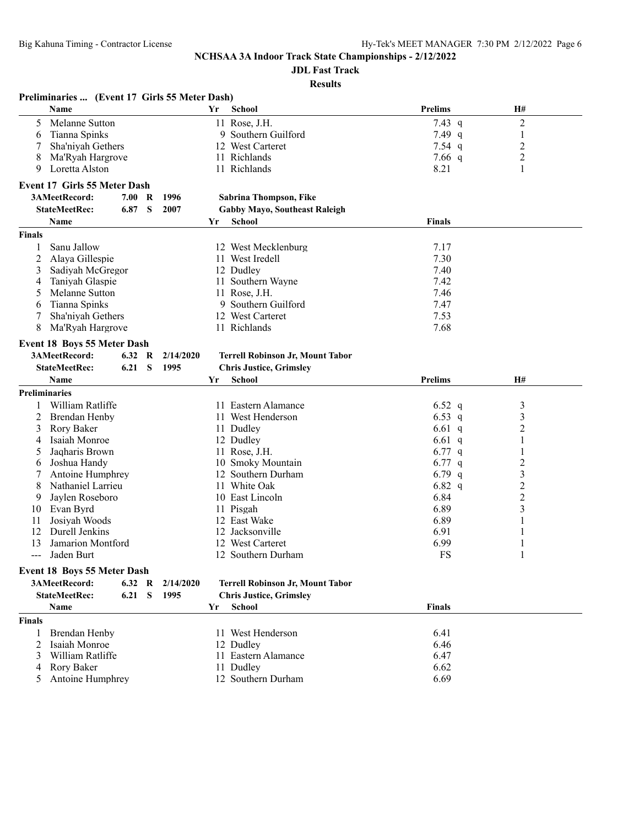## **JDL Fast Track**

|               | Preliminaries  (Event 17 Girls 55 Meter Dash) |        |             |           |    |                                         |                |                |  |
|---------------|-----------------------------------------------|--------|-------------|-----------|----|-----------------------------------------|----------------|----------------|--|
|               | <b>Name</b>                                   |        |             |           | Yr | <b>School</b>                           | <b>Prelims</b> | H#             |  |
| 5             | Melanne Sutton                                |        |             |           |    | 11 Rose, J.H.                           | 7.43 $q$       | $\overline{c}$ |  |
| 6             | Tianna Spinks                                 |        |             |           |    | 9 Southern Guilford                     | 7.49 $q$       | $\mathbf{1}$   |  |
| 7             | Sha'niyah Gethers                             |        |             |           |    | 12 West Carteret                        | 7.54 $q$       | $\overline{c}$ |  |
| 8             | Ma'Ryah Hargrove                              |        |             |           |    | 11 Richlands                            | 7.66 $q$       | $\overline{2}$ |  |
| 9             | Loretta Alston                                |        |             |           |    | 11 Richlands                            | 8.21           | 1              |  |
|               | <b>Event 17 Girls 55 Meter Dash</b>           |        |             |           |    |                                         |                |                |  |
|               | 3AMeetRecord:                                 | 7.00   | $\mathbf R$ | 1996      |    | Sabrina Thompson, Fike                  |                |                |  |
|               | <b>StateMeetRec:</b>                          | 6.87   | S           | 2007      |    | <b>Gabby Mayo, Southeast Raleigh</b>    |                |                |  |
|               | Name                                          |        |             |           | Yr | <b>School</b>                           | <b>Finals</b>  |                |  |
| <b>Finals</b> |                                               |        |             |           |    |                                         |                |                |  |
|               | Sanu Jallow                                   |        |             |           |    |                                         |                |                |  |
| 1<br>2        | Alaya Gillespie                               |        |             |           |    | 12 West Mecklenburg                     | 7.17<br>7.30   |                |  |
|               |                                               |        |             |           |    | 11 West Iredell<br>12 Dudley            | 7.40           |                |  |
| 3             | Sadiyah McGregor<br>Taniyah Glaspie           |        |             |           |    | 11 Southern Wayne                       | 7.42           |                |  |
| 4<br>5        | Melanne Sutton                                |        |             |           |    | 11 Rose, J.H.                           | 7.46           |                |  |
| 6             | Tianna Spinks                                 |        |             |           |    | 9 Southern Guilford                     | 7.47           |                |  |
| 7             | Sha'niyah Gethers                             |        |             |           |    | 12 West Carteret                        | 7.53           |                |  |
| 8             | Ma'Ryah Hargrove                              |        |             |           |    | 11 Richlands                            | 7.68           |                |  |
|               |                                               |        |             |           |    |                                         |                |                |  |
|               | Event 18 Boys 55 Meter Dash                   |        |             |           |    |                                         |                |                |  |
|               | 3AMeetRecord:                                 | 6.32   | R           | 2/14/2020 |    | Terrell Robinson Jr, Mount Tabor        |                |                |  |
|               | <b>StateMeetRec:</b>                          | 6.21   | S           | 1995      |    | <b>Chris Justice, Grimsley</b>          |                |                |  |
|               | <b>Name</b>                                   |        |             |           | Yr | <b>School</b>                           | <b>Prelims</b> | H#             |  |
|               | <b>Preliminaries</b>                          |        |             |           |    |                                         |                |                |  |
| 1             | William Ratliffe                              |        |             |           |    | 11 Eastern Alamance                     | 6.52 q         | 3              |  |
| 2             | Brendan Henby                                 |        |             |           |    | 11 West Henderson                       | 6.53 q         | 3              |  |
| 3             | Rory Baker                                    |        |             |           |    | 11 Dudley                               | 6.61 q         | $\overline{c}$ |  |
| 4             | Isaiah Monroe                                 |        |             |           |    | 12 Dudley                               | 6.61 q         | 1              |  |
| 5             | Jaqharis Brown                                |        |             |           |    | 11 Rose, J.H.                           | 6.77 $q$       |                |  |
| 6             | Joshua Handy                                  |        |             |           |    | 10 Smoky Mountain                       | 6.77 $q$       | $\overline{2}$ |  |
| 7             | Antoine Humphrey                              |        |             |           |    | 12 Southern Durham                      | 6.79 $q$       | $\mathfrak{Z}$ |  |
| 8             | Nathaniel Larrieu                             |        |             |           |    | 11 White Oak                            | 6.82 $q$       | $\overline{c}$ |  |
| 9             | Jaylen Roseboro                               |        |             |           |    | 10 East Lincoln                         | 6.84           | $\overline{c}$ |  |
| 10            | Evan Byrd                                     |        |             |           |    | 11 Pisgah                               | 6.89           | 3              |  |
| 11            | Josiyah Woods                                 |        |             |           |    | 12 East Wake                            | 6.89           |                |  |
| 12            | Durell Jenkins                                |        |             |           |    | 12 Jacksonville                         | 6.91           |                |  |
| 13            | Jamarion Montford                             |        |             |           |    | 12 West Carteret                        | 6.99           |                |  |
| ---           | Jaden Burt                                    |        |             |           |    | 12 Southern Durham                      | <b>FS</b>      | 1              |  |
|               | <b>Event 18 Boys 55 Meter Dash</b>            |        |             |           |    |                                         |                |                |  |
|               | 3AMeetRecord:                                 | 6.32 R |             | 2/14/2020 |    | <b>Terrell Robinson Jr, Mount Tabor</b> |                |                |  |
|               | <b>StateMeetRec:</b>                          | 6.21   | S           | 1995      |    | <b>Chris Justice, Grimsley</b>          |                |                |  |
|               | Name                                          |        |             |           | Yr | <b>School</b>                           | <b>Finals</b>  |                |  |
| <b>Finals</b> |                                               |        |             |           |    |                                         |                |                |  |
| 1             | Brendan Henby                                 |        |             |           |    | 11 West Henderson                       | 6.41           |                |  |
| 2             | Isaiah Monroe                                 |        |             |           |    | 12 Dudley                               | 6.46           |                |  |
| 3             | William Ratliffe                              |        |             |           |    | 11 Eastern Alamance                     | 6.47           |                |  |
| 4             | <b>Rory Baker</b>                             |        |             |           |    | 11 Dudley                               | 6.62           |                |  |
| 5             | Antoine Humphrey                              |        |             |           |    | 12 Southern Durham                      | 6.69           |                |  |
|               |                                               |        |             |           |    |                                         |                |                |  |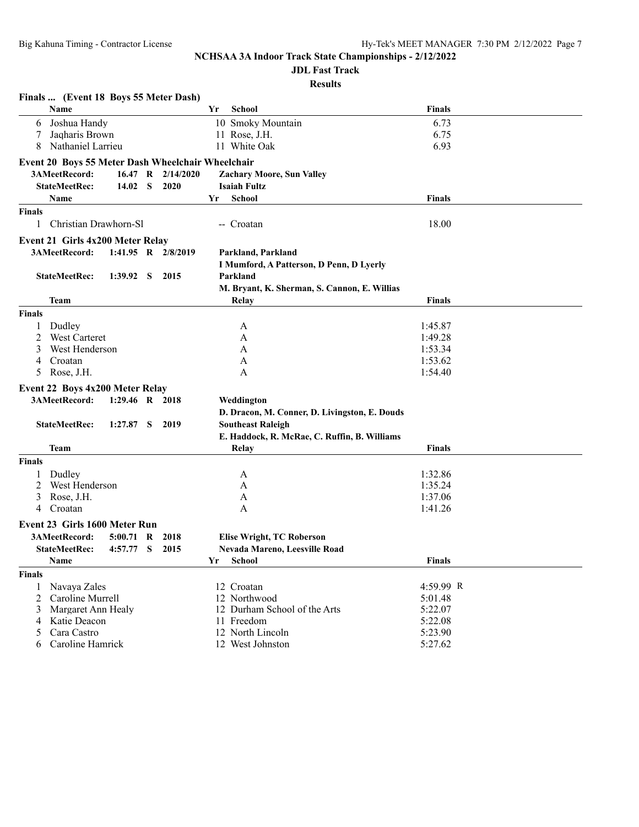# **JDL Fast Track**

|               | Finals  (Event 18 Boys 55 Meter Dash)             |                |              |                      |    |                                                      |               |  |
|---------------|---------------------------------------------------|----------------|--------------|----------------------|----|------------------------------------------------------|---------------|--|
|               | Name                                              |                |              |                      | Yr | <b>School</b>                                        | <b>Finals</b> |  |
| 6             | Joshua Handy                                      |                |              |                      |    | 10 Smoky Mountain                                    | 6.73          |  |
|               | Jaqharis Brown                                    |                |              |                      |    | 11 Rose, J.H.                                        | 6.75          |  |
| 8             | Nathaniel Larrieu                                 |                |              |                      |    | 11 White Oak                                         | 6.93          |  |
|               | Event 20 Boys 55 Meter Dash Wheelchair Wheelchair |                |              |                      |    |                                                      |               |  |
|               | 3AMeetRecord:                                     | 16.47 R        |              | 2/14/2020            |    | <b>Zachary Moore, Sun Valley</b>                     |               |  |
|               | <b>StateMeetRec:</b>                              | 14.02          | S            | 2020                 |    | <b>Isaiah Fultz</b>                                  |               |  |
|               | Name                                              |                |              |                      | Yr | <b>School</b>                                        | <b>Finals</b> |  |
| <b>Finals</b> |                                                   |                |              |                      |    |                                                      |               |  |
| 1             | Christian Drawhorn-Sl                             |                |              |                      |    | -- Croatan                                           | 18.00         |  |
|               |                                                   |                |              |                      |    |                                                      |               |  |
|               | Event 21 Girls 4x200 Meter Relay<br>3AMeetRecord: |                |              | 1:41.95 R $2/8/2019$ |    |                                                      |               |  |
|               |                                                   |                |              |                      |    | Parkland, Parkland                                   |               |  |
|               | <b>StateMeetRec:</b>                              | 1:39.92        | <sub>S</sub> | 2015                 |    | I Mumford, A Patterson, D Penn, D Lyerly<br>Parkland |               |  |
|               |                                                   |                |              |                      |    | M. Bryant, K. Sherman, S. Cannon, E. Willias         |               |  |
|               | Team                                              |                |              |                      |    | Relay                                                | Finals        |  |
| <b>Finals</b> |                                                   |                |              |                      |    |                                                      |               |  |
|               | Dudley                                            |                |              |                      |    |                                                      | 1:45.87       |  |
| 2             | West Carteret                                     |                |              |                      |    | A<br>A                                               | 1:49.28       |  |
| 3             | West Henderson                                    |                |              |                      |    | A                                                    | 1:53.34       |  |
| 4             | Croatan                                           |                |              |                      |    | A                                                    | 1:53.62       |  |
| 5             | Rose, J.H.                                        |                |              |                      |    | A                                                    | 1:54.40       |  |
|               |                                                   |                |              |                      |    |                                                      |               |  |
|               | Event 22 Boys 4x200 Meter Relay                   |                |              |                      |    |                                                      |               |  |
|               | 3AMeetRecord:                                     | 1:29.46 R 2018 |              |                      |    | Weddington                                           |               |  |
|               |                                                   |                |              |                      |    | D. Dracon, M. Conner, D. Livingston, E. Douds        |               |  |
|               | <b>StateMeetRec:</b>                              | 1:27.87        | S            | 2019                 |    | <b>Southeast Raleigh</b>                             |               |  |
|               |                                                   |                |              |                      |    | E. Haddock, R. McRae, C. Ruffin, B. Williams         |               |  |
|               | Team                                              |                |              |                      |    | Relay                                                | Finals        |  |
| <b>Finals</b> |                                                   |                |              |                      |    |                                                      |               |  |
|               | Dudley                                            |                |              |                      |    | A                                                    | 1:32.86       |  |
|               | West Henderson                                    |                |              |                      |    | A                                                    | 1:35.24       |  |
| 3             | Rose, J.H.                                        |                |              |                      |    | A                                                    | 1:37.06       |  |
| 4             | Croatan                                           |                |              |                      |    | A                                                    | 1:41.26       |  |
|               | Event 23 Girls 1600 Meter Run                     |                |              |                      |    |                                                      |               |  |
|               | 3AMeetRecord:                                     | 5:00.71        | R            | 2018                 |    | <b>Elise Wright, TC Roberson</b>                     |               |  |
|               | <b>StateMeetRec:</b>                              | 4:57.77 S      |              | 2015                 |    | <b>Nevada Mareno, Leesville Road</b>                 |               |  |
|               | Name                                              |                |              |                      | Yr | School                                               | Finals        |  |
| <b>Finals</b> |                                                   |                |              |                      |    |                                                      |               |  |
| 1             | Navaya Zales                                      |                |              |                      |    | 12 Croatan                                           | 4:59.99 R     |  |
| 2             | Caroline Murrell                                  |                |              |                      |    | 12 Northwood                                         | 5:01.48       |  |
| 3             | Margaret Ann Healy                                |                |              |                      |    | 12 Durham School of the Arts                         | 5:22.07       |  |
| 4             | Katie Deacon                                      |                |              |                      |    | 11 Freedom                                           | 5:22.08       |  |
| 5             | Cara Castro                                       |                |              |                      |    | 12 North Lincoln                                     | 5:23.90       |  |
| 6             | Caroline Hamrick                                  |                |              |                      |    | 12 West Johnston                                     | 5:27.62       |  |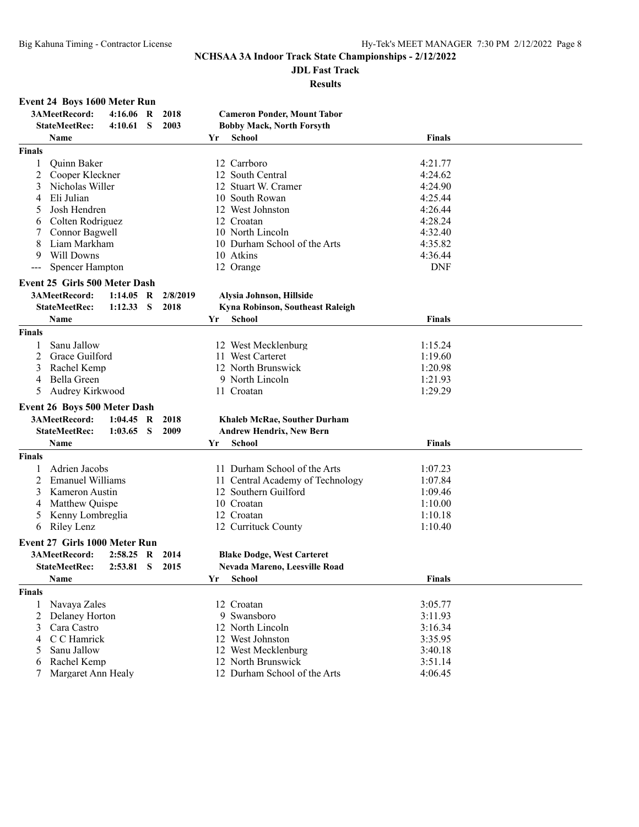### **JDL Fast Track**

#### **Results**

## **Event 24 Boys 1600 Meter Run**

| <b>StateMeetRec:</b><br>4:10.61<br>S<br>2003<br><b>Bobby Mack, North Forsyth</b><br><b>Name</b><br>Yr<br><b>School</b><br><b>Finals</b><br>12 Carrboro<br><b>Ouinn Baker</b><br>4:21.77<br>1<br>2<br>Cooper Kleckner<br>4:24.62<br>12 South Central<br>3<br>Nicholas Willer<br>12 Stuart W. Cramer<br>4:24.90<br>Eli Julian<br>10 South Rowan<br>4:25.44<br>4<br>Josh Hendren<br>12 West Johnston<br>4:26.44<br>4:28.24<br>Colten Rodriguez<br>12 Croatan<br>6<br>Connor Bagwell<br>10 North Lincoln<br>4:32.40<br>8<br>Liam Markham<br>10 Durham School of the Arts<br>4:35.82<br>Will Downs<br>10 Atkins<br>4:36.44<br>9<br><b>DNF</b><br><b>Spencer Hampton</b><br>12 Orange<br>---<br>Event 25 Girls 500 Meter Dash<br>3AMeetRecord:<br>R<br>Alysia Johnson, Hillside<br>1:14.05<br>2/8/2019<br><b>StateMeetRec:</b><br>1:12.33<br>S<br>2018<br>Kyna Robinson, Southeast Raleigh<br>Name<br><b>School</b><br><b>Finals</b><br>Yr<br><b>Finals</b><br>Sanu Jallow<br>12 West Mecklenburg<br>1:15.24<br>2<br>Grace Guilford<br>1:19.60<br>11 West Carteret<br>12 North Brunswick<br>3<br>Rachel Kemp<br>1:20.98<br>Bella Green<br>9 North Lincoln<br>1:21.93<br>4<br>1:29.29<br>5<br>Audrey Kirkwood<br>11 Croatan<br>Event 26 Boys 500 Meter Dash<br>3AMeetRecord:<br>R<br>2018<br><b>Khaleb McRae, Souther Durham</b><br>1:04.45<br><b>StateMeetRec:</b><br>S<br>2009<br>1:03.65<br><b>Andrew Hendrix, New Bern</b><br>Name<br><b>School</b><br><b>Finals</b><br>Yr<br><b>Finals</b><br>Adrien Jacobs<br>11 Durham School of the Arts<br>1:07.23<br>2<br><b>Emanuel Williams</b><br>11 Central Academy of Technology<br>1:07.84<br>Kameron Austin<br>12 Southern Guilford<br>1:09.46<br>3<br>Matthew Quispe<br>10 Croatan<br>1:10.00<br>Kenny Lombreglia<br>1:10.18<br>12 Croatan<br>5<br>Riley Lenz<br>12 Currituck County<br>1:10.40<br>6<br>Event 27 Girls 1000 Meter Run<br>3AMeetRecord:<br>2:58.25<br><b>Blake Dodge, West Carteret</b><br>R<br>2014<br>$2:53.81$ S<br><b>Nevada Mareno, Leesville Road</b><br><b>StateMeetRec:</b><br>2015<br>Finals<br>Name<br><b>School</b><br>Υr<br><b>Finals</b><br>Navaya Zales<br>12 Croatan<br>3:05.77<br>$\overline{c}$<br>Delaney Horton<br>9 Swansboro<br>3:11.93<br>12 North Lincoln<br>3:16.34<br>Cara Castro<br>3<br>C C Hamrick<br>12 West Johnston<br>3:35.95<br>4<br>Sanu Jallow<br>12 West Mecklenburg<br>3:40.18<br>5<br>12 North Brunswick<br>Rachel Kemp<br>3:51.14<br>6<br>Margaret Ann Healy |               | 3AMeetRecord: | 4:16.06 | R | 2018 | <b>Cameron Ponder, Mount Tabor</b> |         |  |
|---------------------------------------------------------------------------------------------------------------------------------------------------------------------------------------------------------------------------------------------------------------------------------------------------------------------------------------------------------------------------------------------------------------------------------------------------------------------------------------------------------------------------------------------------------------------------------------------------------------------------------------------------------------------------------------------------------------------------------------------------------------------------------------------------------------------------------------------------------------------------------------------------------------------------------------------------------------------------------------------------------------------------------------------------------------------------------------------------------------------------------------------------------------------------------------------------------------------------------------------------------------------------------------------------------------------------------------------------------------------------------------------------------------------------------------------------------------------------------------------------------------------------------------------------------------------------------------------------------------------------------------------------------------------------------------------------------------------------------------------------------------------------------------------------------------------------------------------------------------------------------------------------------------------------------------------------------------------------------------------------------------------------------------------------------------------------------------------------------------------------------------------------------------------------------------------------------------------------------------------------------------------------------------------------------------------------------------------------------------------------------------------------------------------------------------------------------------|---------------|---------------|---------|---|------|------------------------------------|---------|--|
|                                                                                                                                                                                                                                                                                                                                                                                                                                                                                                                                                                                                                                                                                                                                                                                                                                                                                                                                                                                                                                                                                                                                                                                                                                                                                                                                                                                                                                                                                                                                                                                                                                                                                                                                                                                                                                                                                                                                                                                                                                                                                                                                                                                                                                                                                                                                                                                                                                                               |               |               |         |   |      |                                    |         |  |
|                                                                                                                                                                                                                                                                                                                                                                                                                                                                                                                                                                                                                                                                                                                                                                                                                                                                                                                                                                                                                                                                                                                                                                                                                                                                                                                                                                                                                                                                                                                                                                                                                                                                                                                                                                                                                                                                                                                                                                                                                                                                                                                                                                                                                                                                                                                                                                                                                                                               |               |               |         |   |      |                                    |         |  |
|                                                                                                                                                                                                                                                                                                                                                                                                                                                                                                                                                                                                                                                                                                                                                                                                                                                                                                                                                                                                                                                                                                                                                                                                                                                                                                                                                                                                                                                                                                                                                                                                                                                                                                                                                                                                                                                                                                                                                                                                                                                                                                                                                                                                                                                                                                                                                                                                                                                               | <b>Finals</b> |               |         |   |      |                                    |         |  |
|                                                                                                                                                                                                                                                                                                                                                                                                                                                                                                                                                                                                                                                                                                                                                                                                                                                                                                                                                                                                                                                                                                                                                                                                                                                                                                                                                                                                                                                                                                                                                                                                                                                                                                                                                                                                                                                                                                                                                                                                                                                                                                                                                                                                                                                                                                                                                                                                                                                               |               |               |         |   |      |                                    |         |  |
|                                                                                                                                                                                                                                                                                                                                                                                                                                                                                                                                                                                                                                                                                                                                                                                                                                                                                                                                                                                                                                                                                                                                                                                                                                                                                                                                                                                                                                                                                                                                                                                                                                                                                                                                                                                                                                                                                                                                                                                                                                                                                                                                                                                                                                                                                                                                                                                                                                                               |               |               |         |   |      |                                    |         |  |
|                                                                                                                                                                                                                                                                                                                                                                                                                                                                                                                                                                                                                                                                                                                                                                                                                                                                                                                                                                                                                                                                                                                                                                                                                                                                                                                                                                                                                                                                                                                                                                                                                                                                                                                                                                                                                                                                                                                                                                                                                                                                                                                                                                                                                                                                                                                                                                                                                                                               |               |               |         |   |      |                                    |         |  |
|                                                                                                                                                                                                                                                                                                                                                                                                                                                                                                                                                                                                                                                                                                                                                                                                                                                                                                                                                                                                                                                                                                                                                                                                                                                                                                                                                                                                                                                                                                                                                                                                                                                                                                                                                                                                                                                                                                                                                                                                                                                                                                                                                                                                                                                                                                                                                                                                                                                               |               |               |         |   |      |                                    |         |  |
|                                                                                                                                                                                                                                                                                                                                                                                                                                                                                                                                                                                                                                                                                                                                                                                                                                                                                                                                                                                                                                                                                                                                                                                                                                                                                                                                                                                                                                                                                                                                                                                                                                                                                                                                                                                                                                                                                                                                                                                                                                                                                                                                                                                                                                                                                                                                                                                                                                                               |               |               |         |   |      |                                    |         |  |
|                                                                                                                                                                                                                                                                                                                                                                                                                                                                                                                                                                                                                                                                                                                                                                                                                                                                                                                                                                                                                                                                                                                                                                                                                                                                                                                                                                                                                                                                                                                                                                                                                                                                                                                                                                                                                                                                                                                                                                                                                                                                                                                                                                                                                                                                                                                                                                                                                                                               |               |               |         |   |      |                                    |         |  |
|                                                                                                                                                                                                                                                                                                                                                                                                                                                                                                                                                                                                                                                                                                                                                                                                                                                                                                                                                                                                                                                                                                                                                                                                                                                                                                                                                                                                                                                                                                                                                                                                                                                                                                                                                                                                                                                                                                                                                                                                                                                                                                                                                                                                                                                                                                                                                                                                                                                               |               |               |         |   |      |                                    |         |  |
|                                                                                                                                                                                                                                                                                                                                                                                                                                                                                                                                                                                                                                                                                                                                                                                                                                                                                                                                                                                                                                                                                                                                                                                                                                                                                                                                                                                                                                                                                                                                                                                                                                                                                                                                                                                                                                                                                                                                                                                                                                                                                                                                                                                                                                                                                                                                                                                                                                                               |               |               |         |   |      |                                    |         |  |
|                                                                                                                                                                                                                                                                                                                                                                                                                                                                                                                                                                                                                                                                                                                                                                                                                                                                                                                                                                                                                                                                                                                                                                                                                                                                                                                                                                                                                                                                                                                                                                                                                                                                                                                                                                                                                                                                                                                                                                                                                                                                                                                                                                                                                                                                                                                                                                                                                                                               |               |               |         |   |      |                                    |         |  |
|                                                                                                                                                                                                                                                                                                                                                                                                                                                                                                                                                                                                                                                                                                                                                                                                                                                                                                                                                                                                                                                                                                                                                                                                                                                                                                                                                                                                                                                                                                                                                                                                                                                                                                                                                                                                                                                                                                                                                                                                                                                                                                                                                                                                                                                                                                                                                                                                                                                               |               |               |         |   |      |                                    |         |  |
|                                                                                                                                                                                                                                                                                                                                                                                                                                                                                                                                                                                                                                                                                                                                                                                                                                                                                                                                                                                                                                                                                                                                                                                                                                                                                                                                                                                                                                                                                                                                                                                                                                                                                                                                                                                                                                                                                                                                                                                                                                                                                                                                                                                                                                                                                                                                                                                                                                                               |               |               |         |   |      |                                    |         |  |
|                                                                                                                                                                                                                                                                                                                                                                                                                                                                                                                                                                                                                                                                                                                                                                                                                                                                                                                                                                                                                                                                                                                                                                                                                                                                                                                                                                                                                                                                                                                                                                                                                                                                                                                                                                                                                                                                                                                                                                                                                                                                                                                                                                                                                                                                                                                                                                                                                                                               |               |               |         |   |      |                                    |         |  |
|                                                                                                                                                                                                                                                                                                                                                                                                                                                                                                                                                                                                                                                                                                                                                                                                                                                                                                                                                                                                                                                                                                                                                                                                                                                                                                                                                                                                                                                                                                                                                                                                                                                                                                                                                                                                                                                                                                                                                                                                                                                                                                                                                                                                                                                                                                                                                                                                                                                               |               |               |         |   |      |                                    |         |  |
|                                                                                                                                                                                                                                                                                                                                                                                                                                                                                                                                                                                                                                                                                                                                                                                                                                                                                                                                                                                                                                                                                                                                                                                                                                                                                                                                                                                                                                                                                                                                                                                                                                                                                                                                                                                                                                                                                                                                                                                                                                                                                                                                                                                                                                                                                                                                                                                                                                                               |               |               |         |   |      |                                    |         |  |
|                                                                                                                                                                                                                                                                                                                                                                                                                                                                                                                                                                                                                                                                                                                                                                                                                                                                                                                                                                                                                                                                                                                                                                                                                                                                                                                                                                                                                                                                                                                                                                                                                                                                                                                                                                                                                                                                                                                                                                                                                                                                                                                                                                                                                                                                                                                                                                                                                                                               |               |               |         |   |      |                                    |         |  |
|                                                                                                                                                                                                                                                                                                                                                                                                                                                                                                                                                                                                                                                                                                                                                                                                                                                                                                                                                                                                                                                                                                                                                                                                                                                                                                                                                                                                                                                                                                                                                                                                                                                                                                                                                                                                                                                                                                                                                                                                                                                                                                                                                                                                                                                                                                                                                                                                                                                               |               |               |         |   |      |                                    |         |  |
|                                                                                                                                                                                                                                                                                                                                                                                                                                                                                                                                                                                                                                                                                                                                                                                                                                                                                                                                                                                                                                                                                                                                                                                                                                                                                                                                                                                                                                                                                                                                                                                                                                                                                                                                                                                                                                                                                                                                                                                                                                                                                                                                                                                                                                                                                                                                                                                                                                                               |               |               |         |   |      |                                    |         |  |
|                                                                                                                                                                                                                                                                                                                                                                                                                                                                                                                                                                                                                                                                                                                                                                                                                                                                                                                                                                                                                                                                                                                                                                                                                                                                                                                                                                                                                                                                                                                                                                                                                                                                                                                                                                                                                                                                                                                                                                                                                                                                                                                                                                                                                                                                                                                                                                                                                                                               |               |               |         |   |      |                                    |         |  |
|                                                                                                                                                                                                                                                                                                                                                                                                                                                                                                                                                                                                                                                                                                                                                                                                                                                                                                                                                                                                                                                                                                                                                                                                                                                                                                                                                                                                                                                                                                                                                                                                                                                                                                                                                                                                                                                                                                                                                                                                                                                                                                                                                                                                                                                                                                                                                                                                                                                               |               |               |         |   |      |                                    |         |  |
|                                                                                                                                                                                                                                                                                                                                                                                                                                                                                                                                                                                                                                                                                                                                                                                                                                                                                                                                                                                                                                                                                                                                                                                                                                                                                                                                                                                                                                                                                                                                                                                                                                                                                                                                                                                                                                                                                                                                                                                                                                                                                                                                                                                                                                                                                                                                                                                                                                                               |               |               |         |   |      |                                    |         |  |
|                                                                                                                                                                                                                                                                                                                                                                                                                                                                                                                                                                                                                                                                                                                                                                                                                                                                                                                                                                                                                                                                                                                                                                                                                                                                                                                                                                                                                                                                                                                                                                                                                                                                                                                                                                                                                                                                                                                                                                                                                                                                                                                                                                                                                                                                                                                                                                                                                                                               |               |               |         |   |      |                                    |         |  |
|                                                                                                                                                                                                                                                                                                                                                                                                                                                                                                                                                                                                                                                                                                                                                                                                                                                                                                                                                                                                                                                                                                                                                                                                                                                                                                                                                                                                                                                                                                                                                                                                                                                                                                                                                                                                                                                                                                                                                                                                                                                                                                                                                                                                                                                                                                                                                                                                                                                               |               |               |         |   |      |                                    |         |  |
|                                                                                                                                                                                                                                                                                                                                                                                                                                                                                                                                                                                                                                                                                                                                                                                                                                                                                                                                                                                                                                                                                                                                                                                                                                                                                                                                                                                                                                                                                                                                                                                                                                                                                                                                                                                                                                                                                                                                                                                                                                                                                                                                                                                                                                                                                                                                                                                                                                                               |               |               |         |   |      |                                    |         |  |
|                                                                                                                                                                                                                                                                                                                                                                                                                                                                                                                                                                                                                                                                                                                                                                                                                                                                                                                                                                                                                                                                                                                                                                                                                                                                                                                                                                                                                                                                                                                                                                                                                                                                                                                                                                                                                                                                                                                                                                                                                                                                                                                                                                                                                                                                                                                                                                                                                                                               |               |               |         |   |      |                                    |         |  |
|                                                                                                                                                                                                                                                                                                                                                                                                                                                                                                                                                                                                                                                                                                                                                                                                                                                                                                                                                                                                                                                                                                                                                                                                                                                                                                                                                                                                                                                                                                                                                                                                                                                                                                                                                                                                                                                                                                                                                                                                                                                                                                                                                                                                                                                                                                                                                                                                                                                               |               |               |         |   |      |                                    |         |  |
|                                                                                                                                                                                                                                                                                                                                                                                                                                                                                                                                                                                                                                                                                                                                                                                                                                                                                                                                                                                                                                                                                                                                                                                                                                                                                                                                                                                                                                                                                                                                                                                                                                                                                                                                                                                                                                                                                                                                                                                                                                                                                                                                                                                                                                                                                                                                                                                                                                                               |               |               |         |   |      |                                    |         |  |
|                                                                                                                                                                                                                                                                                                                                                                                                                                                                                                                                                                                                                                                                                                                                                                                                                                                                                                                                                                                                                                                                                                                                                                                                                                                                                                                                                                                                                                                                                                                                                                                                                                                                                                                                                                                                                                                                                                                                                                                                                                                                                                                                                                                                                                                                                                                                                                                                                                                               |               |               |         |   |      |                                    |         |  |
|                                                                                                                                                                                                                                                                                                                                                                                                                                                                                                                                                                                                                                                                                                                                                                                                                                                                                                                                                                                                                                                                                                                                                                                                                                                                                                                                                                                                                                                                                                                                                                                                                                                                                                                                                                                                                                                                                                                                                                                                                                                                                                                                                                                                                                                                                                                                                                                                                                                               |               |               |         |   |      |                                    |         |  |
|                                                                                                                                                                                                                                                                                                                                                                                                                                                                                                                                                                                                                                                                                                                                                                                                                                                                                                                                                                                                                                                                                                                                                                                                                                                                                                                                                                                                                                                                                                                                                                                                                                                                                                                                                                                                                                                                                                                                                                                                                                                                                                                                                                                                                                                                                                                                                                                                                                                               |               |               |         |   |      |                                    |         |  |
|                                                                                                                                                                                                                                                                                                                                                                                                                                                                                                                                                                                                                                                                                                                                                                                                                                                                                                                                                                                                                                                                                                                                                                                                                                                                                                                                                                                                                                                                                                                                                                                                                                                                                                                                                                                                                                                                                                                                                                                                                                                                                                                                                                                                                                                                                                                                                                                                                                                               |               |               |         |   |      |                                    |         |  |
|                                                                                                                                                                                                                                                                                                                                                                                                                                                                                                                                                                                                                                                                                                                                                                                                                                                                                                                                                                                                                                                                                                                                                                                                                                                                                                                                                                                                                                                                                                                                                                                                                                                                                                                                                                                                                                                                                                                                                                                                                                                                                                                                                                                                                                                                                                                                                                                                                                                               |               |               |         |   |      |                                    |         |  |
|                                                                                                                                                                                                                                                                                                                                                                                                                                                                                                                                                                                                                                                                                                                                                                                                                                                                                                                                                                                                                                                                                                                                                                                                                                                                                                                                                                                                                                                                                                                                                                                                                                                                                                                                                                                                                                                                                                                                                                                                                                                                                                                                                                                                                                                                                                                                                                                                                                                               |               |               |         |   |      |                                    |         |  |
|                                                                                                                                                                                                                                                                                                                                                                                                                                                                                                                                                                                                                                                                                                                                                                                                                                                                                                                                                                                                                                                                                                                                                                                                                                                                                                                                                                                                                                                                                                                                                                                                                                                                                                                                                                                                                                                                                                                                                                                                                                                                                                                                                                                                                                                                                                                                                                                                                                                               |               |               |         |   |      |                                    |         |  |
|                                                                                                                                                                                                                                                                                                                                                                                                                                                                                                                                                                                                                                                                                                                                                                                                                                                                                                                                                                                                                                                                                                                                                                                                                                                                                                                                                                                                                                                                                                                                                                                                                                                                                                                                                                                                                                                                                                                                                                                                                                                                                                                                                                                                                                                                                                                                                                                                                                                               |               |               |         |   |      |                                    |         |  |
|                                                                                                                                                                                                                                                                                                                                                                                                                                                                                                                                                                                                                                                                                                                                                                                                                                                                                                                                                                                                                                                                                                                                                                                                                                                                                                                                                                                                                                                                                                                                                                                                                                                                                                                                                                                                                                                                                                                                                                                                                                                                                                                                                                                                                                                                                                                                                                                                                                                               |               |               |         |   |      |                                    |         |  |
|                                                                                                                                                                                                                                                                                                                                                                                                                                                                                                                                                                                                                                                                                                                                                                                                                                                                                                                                                                                                                                                                                                                                                                                                                                                                                                                                                                                                                                                                                                                                                                                                                                                                                                                                                                                                                                                                                                                                                                                                                                                                                                                                                                                                                                                                                                                                                                                                                                                               |               |               |         |   |      |                                    |         |  |
|                                                                                                                                                                                                                                                                                                                                                                                                                                                                                                                                                                                                                                                                                                                                                                                                                                                                                                                                                                                                                                                                                                                                                                                                                                                                                                                                                                                                                                                                                                                                                                                                                                                                                                                                                                                                                                                                                                                                                                                                                                                                                                                                                                                                                                                                                                                                                                                                                                                               |               |               |         |   |      |                                    |         |  |
|                                                                                                                                                                                                                                                                                                                                                                                                                                                                                                                                                                                                                                                                                                                                                                                                                                                                                                                                                                                                                                                                                                                                                                                                                                                                                                                                                                                                                                                                                                                                                                                                                                                                                                                                                                                                                                                                                                                                                                                                                                                                                                                                                                                                                                                                                                                                                                                                                                                               |               |               |         |   |      |                                    |         |  |
|                                                                                                                                                                                                                                                                                                                                                                                                                                                                                                                                                                                                                                                                                                                                                                                                                                                                                                                                                                                                                                                                                                                                                                                                                                                                                                                                                                                                                                                                                                                                                                                                                                                                                                                                                                                                                                                                                                                                                                                                                                                                                                                                                                                                                                                                                                                                                                                                                                                               |               |               |         |   |      |                                    |         |  |
|                                                                                                                                                                                                                                                                                                                                                                                                                                                                                                                                                                                                                                                                                                                                                                                                                                                                                                                                                                                                                                                                                                                                                                                                                                                                                                                                                                                                                                                                                                                                                                                                                                                                                                                                                                                                                                                                                                                                                                                                                                                                                                                                                                                                                                                                                                                                                                                                                                                               |               |               |         |   |      |                                    |         |  |
|                                                                                                                                                                                                                                                                                                                                                                                                                                                                                                                                                                                                                                                                                                                                                                                                                                                                                                                                                                                                                                                                                                                                                                                                                                                                                                                                                                                                                                                                                                                                                                                                                                                                                                                                                                                                                                                                                                                                                                                                                                                                                                                                                                                                                                                                                                                                                                                                                                                               |               |               |         |   |      |                                    |         |  |
|                                                                                                                                                                                                                                                                                                                                                                                                                                                                                                                                                                                                                                                                                                                                                                                                                                                                                                                                                                                                                                                                                                                                                                                                                                                                                                                                                                                                                                                                                                                                                                                                                                                                                                                                                                                                                                                                                                                                                                                                                                                                                                                                                                                                                                                                                                                                                                                                                                                               |               |               |         |   |      |                                    |         |  |
|                                                                                                                                                                                                                                                                                                                                                                                                                                                                                                                                                                                                                                                                                                                                                                                                                                                                                                                                                                                                                                                                                                                                                                                                                                                                                                                                                                                                                                                                                                                                                                                                                                                                                                                                                                                                                                                                                                                                                                                                                                                                                                                                                                                                                                                                                                                                                                                                                                                               |               |               |         |   |      |                                    |         |  |
|                                                                                                                                                                                                                                                                                                                                                                                                                                                                                                                                                                                                                                                                                                                                                                                                                                                                                                                                                                                                                                                                                                                                                                                                                                                                                                                                                                                                                                                                                                                                                                                                                                                                                                                                                                                                                                                                                                                                                                                                                                                                                                                                                                                                                                                                                                                                                                                                                                                               |               |               |         |   |      | 12 Durham School of the Arts       | 4:06.45 |  |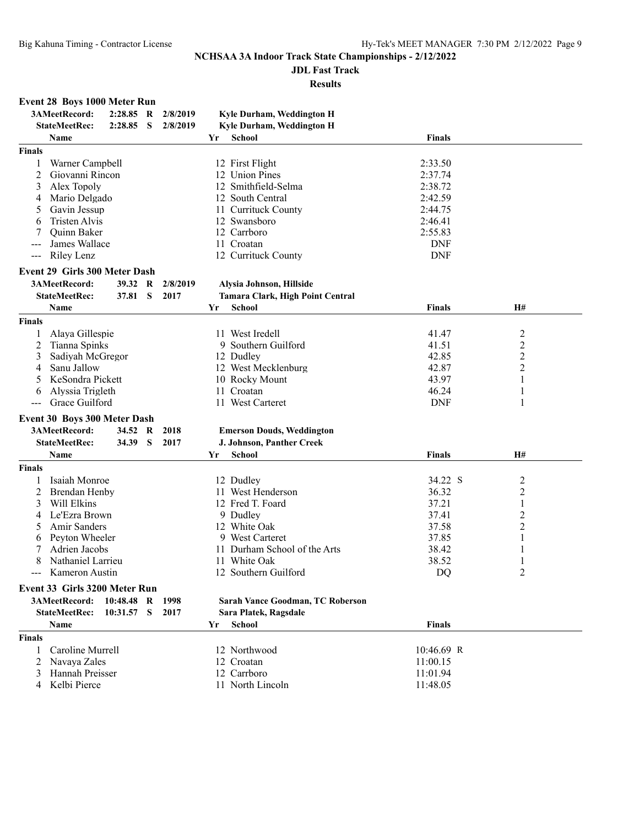## **JDL Fast Track**

|                     | <b>Event 28 Boys 1000 Meter Run</b>  |              |              |          |     |                                                          |               |                |  |
|---------------------|--------------------------------------|--------------|--------------|----------|-----|----------------------------------------------------------|---------------|----------------|--|
|                     | 3AMeetRecord:                        | 2:28.85      | R            | 2/8/2019 |     | Kyle Durham, Weddington H                                |               |                |  |
|                     | <b>StateMeetRec:</b>                 | 2:28.85      | S            | 2/8/2019 |     | Kyle Durham, Weddington H                                |               |                |  |
|                     | Name                                 |              |              |          | Yr  | School                                                   | <b>Finals</b> |                |  |
| <b>Finals</b>       |                                      |              |              |          |     |                                                          |               |                |  |
| 1                   | Warner Campbell                      |              |              |          |     | 12 First Flight                                          | 2:33.50       |                |  |
| 2                   | Giovanni Rincon                      |              |              |          |     | 12 Union Pines                                           | 2:37.74       |                |  |
| 3                   | Alex Topoly                          |              |              |          |     | 12 Smithfield-Selma                                      | 2:38.72       |                |  |
| 4                   | Mario Delgado                        |              |              |          |     | 12 South Central                                         | 2:42.59       |                |  |
| 5                   | Gavin Jessup                         |              |              |          |     | 11 Currituck County                                      | 2:44.75       |                |  |
| 6                   | Tristen Alvis                        |              |              |          |     | 12 Swansboro                                             | 2:46.41       |                |  |
|                     | Quinn Baker                          |              |              |          |     | 12 Carrboro                                              | 2:55.83       |                |  |
| ---                 | James Wallace                        |              |              |          |     | 11 Croatan                                               | <b>DNF</b>    |                |  |
| $\qquad \qquad - -$ | Riley Lenz                           |              |              |          |     | 12 Currituck County                                      | <b>DNF</b>    |                |  |
|                     | <b>Event 29 Girls 300 Meter Dash</b> |              |              |          |     |                                                          |               |                |  |
|                     | 3AMeetRecord:                        | 39.32        | R            | 2/8/2019 |     |                                                          |               |                |  |
|                     | <b>StateMeetRec:</b>                 | 37.81        | <sub>S</sub> | 2017     |     | Alysia Johnson, Hillside                                 |               |                |  |
|                     | <b>Name</b>                          |              |              |          |     | <b>Tamara Clark, High Point Central</b><br><b>School</b> | <b>Finals</b> |                |  |
|                     |                                      |              |              |          | Yr  |                                                          |               | H#             |  |
| <b>Finals</b>       |                                      |              |              |          |     |                                                          |               |                |  |
| 1                   | Alaya Gillespie                      |              |              |          |     | 11 West Iredell                                          | 41.47         | 2              |  |
| 2                   | Tianna Spinks                        |              |              |          |     | 9 Southern Guilford                                      | 41.51         | $\overline{c}$ |  |
| 3                   | Sadiyah McGregor                     |              |              |          |     | 12 Dudley                                                | 42.85         | $\overline{c}$ |  |
| 4                   | Sanu Jallow                          |              |              |          |     | 12 West Mecklenburg                                      | 42.87         | 2              |  |
| 5                   | KeSondra Pickett                     |              |              |          |     | 10 Rocky Mount                                           | 43.97         | 1              |  |
| 6                   | Alyssia Trigleth                     |              |              |          |     | 11 Croatan                                               | 46.24         | 1              |  |
|                     | Grace Guilford                       |              |              |          |     | 11 West Carteret                                         | <b>DNF</b>    | 1              |  |
|                     | Event 30 Boys 300 Meter Dash         |              |              |          |     |                                                          |               |                |  |
|                     | 3AMeetRecord:                        | 34.52 R      |              | 2018     |     | <b>Emerson Douds, Weddington</b>                         |               |                |  |
|                     | <b>StateMeetRec:</b>                 | 34.39        | S            | 2017     |     | J. Johnson, Panther Creek                                |               |                |  |
|                     | Name                                 |              |              |          | Yr  | <b>School</b>                                            | <b>Finals</b> | Н#             |  |
| <b>Finals</b>       |                                      |              |              |          |     |                                                          |               |                |  |
| 1                   | Isaiah Monroe                        |              |              |          |     | 12 Dudley                                                | 34.22 S       | 2              |  |
| 2                   | <b>Brendan Henby</b>                 |              |              |          |     | 11 West Henderson                                        | 36.32         | $\overline{c}$ |  |
| 3                   | Will Elkins                          |              |              |          |     | 12 Fred T. Foard                                         | 37.21         | 1              |  |
| 4                   | Le'Ezra Brown                        |              |              |          |     | 9 Dudley                                                 | 37.41         | 2              |  |
| 5                   | Amir Sanders                         |              |              |          |     | 12 White Oak                                             | 37.58         | 2              |  |
| 6                   | Peyton Wheeler                       |              |              |          |     | 9 West Carteret                                          | 37.85         | 1              |  |
| 7                   | Adrien Jacobs                        |              |              |          |     | 11 Durham School of the Arts                             | 38.42         |                |  |
| 8                   | Nathaniel Larrieu                    |              |              |          |     | 11 White Oak                                             | 38.52         |                |  |
|                     | --- Kameron Austin                   |              |              |          |     | 12 Southern Guilford                                     | DO            | 2              |  |
|                     | Event 33 Girls 3200 Meter Run        |              |              |          |     |                                                          |               |                |  |
|                     | 3AMeetRecord:                        | $10:48.48$ R |              | 1998     |     | Sarah Vance Goodman, TC Roberson                         |               |                |  |
|                     | <b>StateMeetRec:</b>                 | 10:31.57     | S            | 2017     |     | Sara Platek, Ragsdale                                    |               |                |  |
|                     | Name                                 |              |              |          | Yr. | <b>School</b>                                            | <b>Finals</b> |                |  |
|                     |                                      |              |              |          |     |                                                          |               |                |  |
| <b>Finals</b>       |                                      |              |              |          |     |                                                          |               |                |  |
| 1                   | Caroline Murrell                     |              |              |          |     | 12 Northwood                                             | $10:46.69$ R  |                |  |
| 2                   | Navaya Zales                         |              |              |          |     | 12 Croatan                                               | 11:00.15      |                |  |
| 3                   | Hannah Preisser                      |              |              |          |     | 12 Carrboro                                              | 11:01.94      |                |  |
|                     | 4 Kelbi Pierce                       |              |              |          |     | 11 North Lincoln                                         | 11:48.05      |                |  |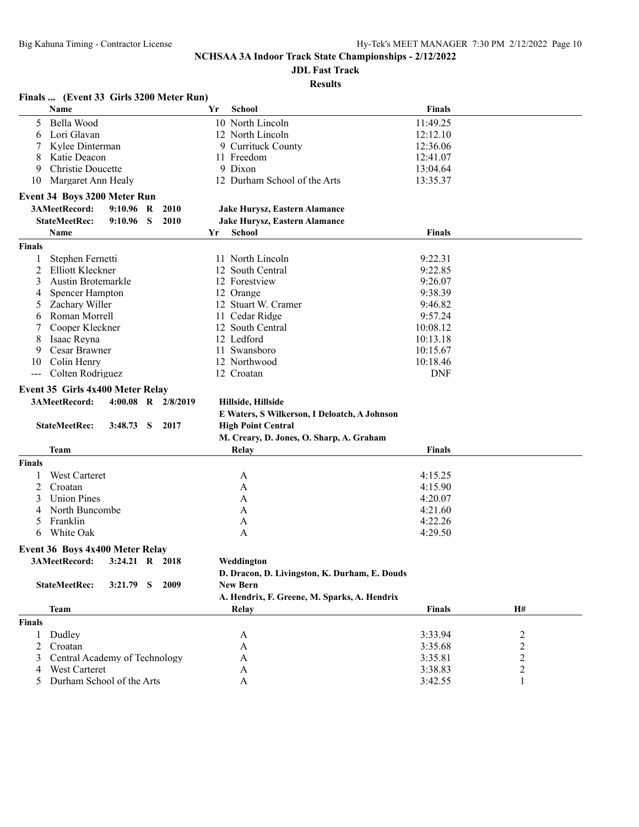**JDL Fast Track**

| Finals  (Event 33 Girls 3200 Meter Run)             |                                                                           |                    |                                    |
|-----------------------------------------------------|---------------------------------------------------------------------------|--------------------|------------------------------------|
| Name                                                | School<br>Yr                                                              | <b>Finals</b>      |                                    |
| Bella Wood<br>5.                                    | 10 North Lincoln                                                          | 11:49.25           |                                    |
| Lori Glavan<br>6                                    | 12 North Lincoln                                                          | 12:12.10           |                                    |
| Kylee Dinterman                                     | 9 Currituck County                                                        | 12:36.06           |                                    |
| Katie Deacon<br>8                                   | 11 Freedom                                                                | 12:41.07           |                                    |
| Christie Doucette<br>9                              | 9 Dixon                                                                   | 13:04.64           |                                    |
| Margaret Ann Healy<br>10                            | 12 Durham School of the Arts                                              | 13:35.37           |                                    |
| <b>Event 34 Boys 3200 Meter Run</b>                 |                                                                           |                    |                                    |
| 3AMeetRecord:<br>$9:10.96$ R<br>2010                | Jake Hurysz, Eastern Alamance                                             |                    |                                    |
| <b>StateMeetRec:</b><br>9:10.96<br>-S<br>2010       | Jake Hurysz, Eastern Alamance                                             |                    |                                    |
| Name                                                | <b>School</b><br>Yr                                                       | <b>Finals</b>      |                                    |
| <b>Finals</b>                                       |                                                                           |                    |                                    |
| 1                                                   |                                                                           | 9:22.31            |                                    |
| Stephen Fernetti<br>Elliott Kleckner                | 11 North Lincoln<br>12 South Central                                      | 9:22.85            |                                    |
| 2                                                   |                                                                           |                    |                                    |
| 3<br><b>Austin Brotemarkle</b>                      | 12 Forestview                                                             | 9:26.07            |                                    |
| <b>Spencer Hampton</b><br>4                         | 12 Orange                                                                 | 9:38.39            |                                    |
| Zachary Willer<br>5                                 | 12 Stuart W. Cramer                                                       | 9:46.82            |                                    |
| Roman Morrell<br>6                                  | 11 Cedar Ridge                                                            | 9:57.24            |                                    |
| Cooper Kleckner<br>7                                | 12 South Central                                                          | 10:08.12           |                                    |
| Isaac Reyna<br>8                                    | 12 Ledford                                                                | 10:13.18           |                                    |
| <b>Cesar Brawner</b><br>9                           | 11 Swansboro                                                              | 10:15.67           |                                    |
| Colin Henry<br>10                                   | 12 Northwood                                                              | 10:18.46           |                                    |
| $---$                                               |                                                                           |                    |                                    |
| Colten Rodriguez                                    | 12 Croatan                                                                | <b>DNF</b>         |                                    |
| Event 35 Girls 4x400 Meter Relay                    |                                                                           |                    |                                    |
| 3AMeetRecord:<br>4:00.08 R $2/8/2019$               | Hillside, Hillside                                                        |                    |                                    |
|                                                     |                                                                           |                    |                                    |
| <b>StateMeetRec:</b><br>3:48.73<br>2017<br>- S      | E Waters, S Wilkerson, I Deloatch, A Johnson<br><b>High Point Central</b> |                    |                                    |
|                                                     |                                                                           |                    |                                    |
| Team                                                | M. Creary, D. Jones, O. Sharp, A. Graham<br>Relay                         | <b>Finals</b>      |                                    |
| <b>Finals</b>                                       |                                                                           |                    |                                    |
|                                                     |                                                                           |                    |                                    |
| <b>West Carteret</b>                                | A                                                                         | 4:15.25            |                                    |
| 2<br>Croatan                                        | A                                                                         | 4:15.90            |                                    |
| <b>Union Pines</b><br>3                             | A                                                                         | 4:20.07            |                                    |
| North Buncombe<br>4                                 | A                                                                         | 4:21.60            |                                    |
| Franklin<br>5                                       | A                                                                         | 4:22.26            |                                    |
| White Oak<br>6                                      | A                                                                         | 4:29.50            |                                    |
| Event 36 Boys 4x400 Meter Relay                     |                                                                           |                    |                                    |
| 3AMeetRecord:<br>3:24.21 R 2018                     | Weddington                                                                |                    |                                    |
|                                                     | D. Dracon, D. Livingston, K. Durham, E. Douds                             |                    |                                    |
| <b>StateMeetRec:</b><br>$3:21.79$ S<br>2009         | <b>New Bern</b>                                                           |                    |                                    |
|                                                     | A. Hendrix, F. Greene, M. Sparks, A. Hendrix                              |                    |                                    |
| <b>Team</b>                                         | <b>Relay</b>                                                              | <b>Finals</b>      | H#                                 |
| <b>Finals</b>                                       |                                                                           |                    |                                    |
| Dudley<br>$\mathbf{1}$                              | A                                                                         | 3:33.94            |                                    |
| 2<br>Croatan                                        | A                                                                         | 3:35.68            | $\overline{c}$                     |
| 3                                                   | A                                                                         |                    | $\overline{c}$                     |
| Central Academy of Technology<br>West Carteret<br>4 | A                                                                         | 3:35.81<br>3:38.83 | $\boldsymbol{2}$<br>$\overline{c}$ |